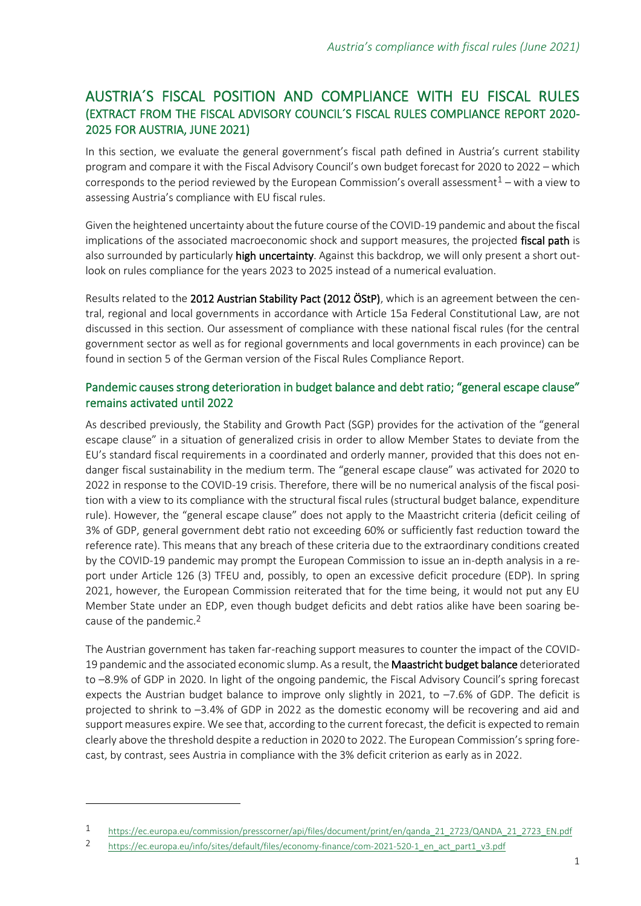## AUSTRIA´S FISCAL POSITION AND COMPLIANCE WITH EU FISCAL RULES (EXTRACT FROM THE FISCAL ADVISORY COUNCIL´S FISCAL RULES COMPLIANCE REPORT 2020- 2025 FOR AUSTRIA, JUNE 2021)

In this section, we evaluate the general government's fiscal path defined in Austria's current stability program and compare it with the Fiscal Advisory Council's own budget forecast for 2020 to 2022 – which corresponds to the period reviewed by the European Commission's overall assessment<sup>1</sup> – with a view to assessing Austria's compliance with EU fiscal rules.

Given the heightened uncertainty about the future course of the COVID-19 pandemic and about the fiscal implications of the associated macroeconomic shock and support measures, the projected fiscal path is also surrounded by particularly high uncertainty. Against this backdrop, we will only present a short outlook on rules compliance for the years 2023 to 2025 instead of a numerical evaluation.

Results related to the 2012 Austrian Stability Pact (2012 ÖStP), which is an agreement between the central, regional and local governments in accordance with Article 15a Federal Constitutional Law, are not discussed in this section. Our assessment of compliance with these national fiscal rules (for the central government sector as well as for regional governments and local governments in each province) can be found in section 5 of the German version of the Fiscal Rules Compliance Report.

## Pandemic causes strong deterioration in budget balance and debt ratio; "general escape clause" remains activated until 2022

As described previously, the Stability and Growth Pact (SGP) provides for the activation of the "general escape clause" in a situation of generalized crisis in order to allow Member States to deviate from the EU's standard fiscal requirements in a coordinated and orderly manner, provided that this does not endanger fiscal sustainability in the medium term. The "general escape clause" was activated for 2020 to 2022 in response to the COVID-19 crisis. Therefore, there will be no numerical analysis of the fiscal position with a view to its compliance with the structural fiscal rules (structural budget balance, expenditure rule). However, the "general escape clause" does not apply to the Maastricht criteria (deficit ceiling of 3% of GDP, general government debt ratio not exceeding 60% or sufficiently fast reduction toward the reference rate). This means that any breach of these criteria due to the extraordinary conditions created by the COVID-19 pandemic may prompt the European Commission to issue an in-depth analysis in a report under Article 126 (3) TFEU and, possibly, to open an excessive deficit procedure (EDP). In spring 2021, however, the European Commission reiterated that for the time being, it would not put any EU Member State under an EDP, even though budget deficits and debt ratios alike have been soaring because of the pandemic.2

The Austrian government has taken far-reaching support measures to counter the impact of the COVID-19 pandemic and the associated economic slump. As a result, the Maastricht budget balance deteriorated to –8.9% of GDP in 2020. In light of the ongoing pandemic, the Fiscal Advisory Council's spring forecast expects the Austrian budget balance to improve only slightly in 2021, to  $-7.6\%$  of GDP. The deficit is projected to shrink to –3.4% of GDP in 2022 as the domestic economy will be recovering and aid and support measures expire. We see that, according to the current forecast, the deficit is expected to remain clearly above the threshold despite a reduction in 2020 to 2022. The European Commission's spring forecast, by contrast, sees Austria in compliance with the 3% deficit criterion as early as in 2022.

<sup>1</sup> [https://ec.europa.eu/commission/presscorner/api/files/document/print/en/qanda\\_21\\_2723/QANDA\\_21\\_2723\\_EN.pdf](https://ec.europa.eu/commission/presscorner/api/files/document/print/en/qanda_21_2723/QANDA_21_2723_EN.pdf)

<sup>2</sup> [https://ec.europa.eu/info/sites/default/files/economy-finance/com-2021-520-1\\_en\\_act\\_part1\\_v3.pdf](https://ec.europa.eu/info/sites/default/files/economy-finance/com-2021-520-1_en_act_part1_v3.pdf)